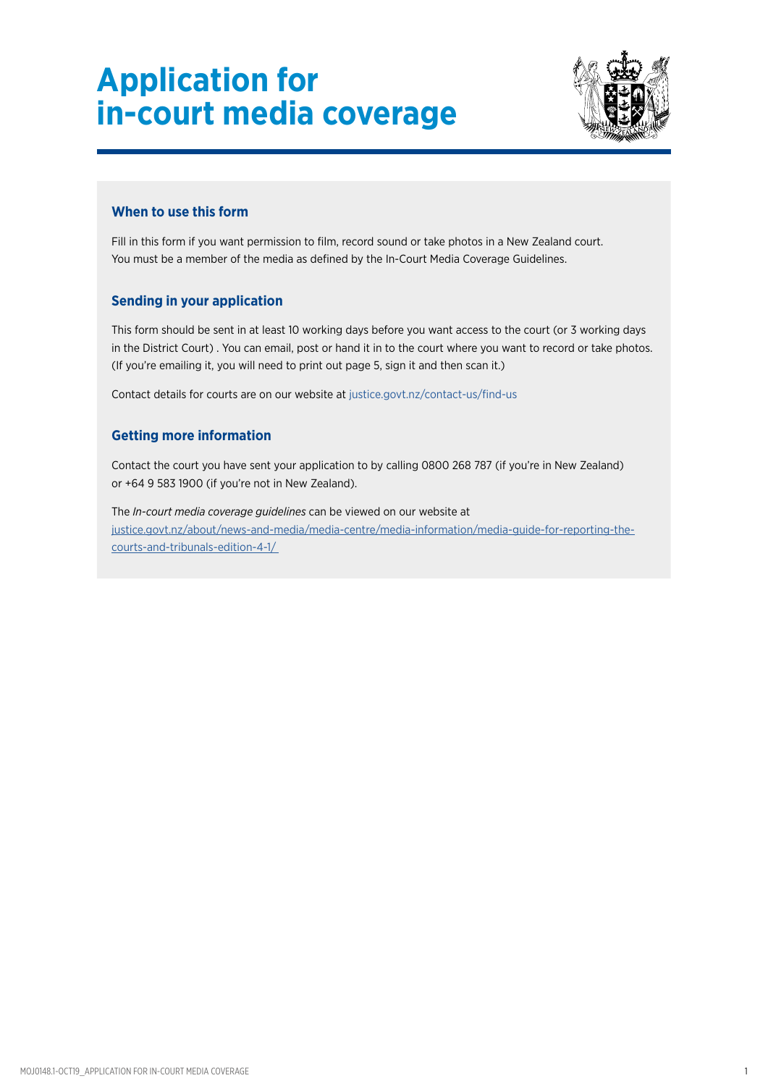

### **When to use this form**

Fill in this form if you want permission to film, record sound or take photos in a New Zealand court. You must be a member of the media as defined by the In-Court Media Coverage Guidelines.

### **Sending in your application**

This form should be sent in at least 10 working days before you want access to the court (or 3 working days in the District Court) . You can email, post or hand it in to the court where you want to record or take photos. (If you're emailing it, you will need to print out page 5, sign it and then scan it.)

Contact details for courts are on our website at [justice.govt.nz/contact-us/find-us](http://justice.govt.nz/contact-us/find-us/)

### **Getting more information**

Contact the court you have sent your application to by calling 0800 268 787 (if you're in New Zealand) or +64 9 583 1900 (if you're not in New Zealand).

The *In-court media coverage guidelines* can be viewed on our website at [justice.govt.nz/about/news-and-media/media-centre/media-information/media-guide-for-reporting-the](https://www.justice.govt.nz/about/news-and-media/media-centre/media-information/media-guide-for-reporting-the-courts-and-tribunals-edition-4-1/)courts-and-tribunals-edition-4-1/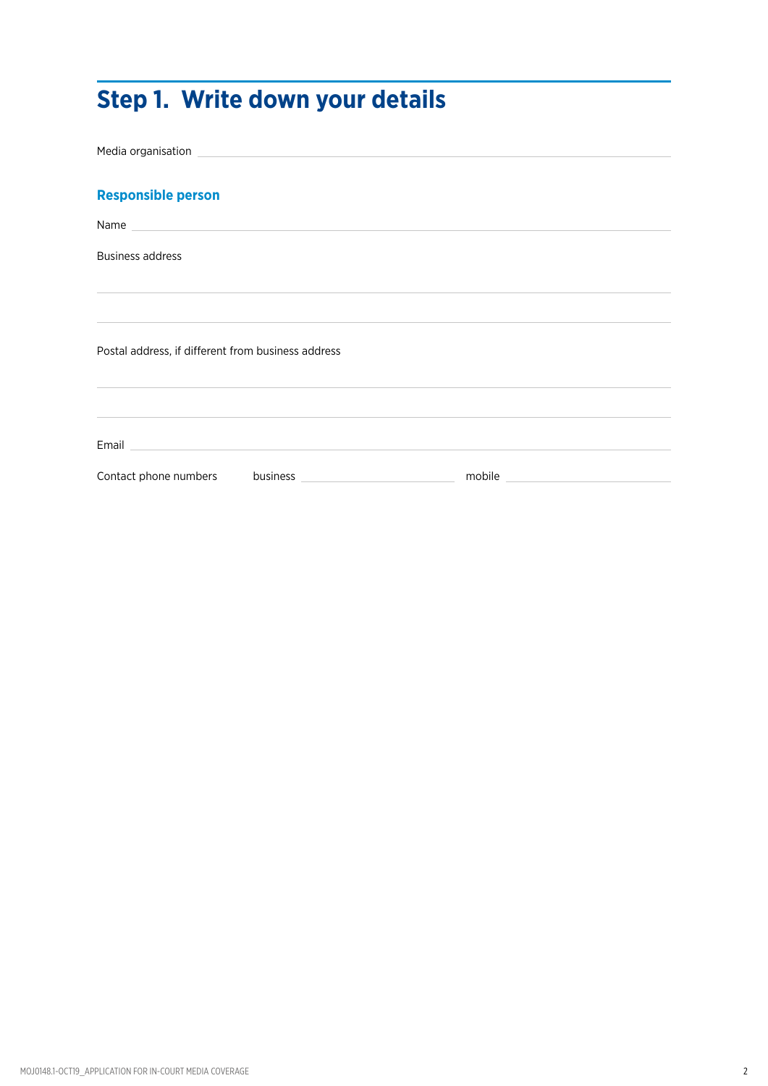# **Step 1. Write down your details**

Media organisation **Responsible person** Name Business address Postal address, if different from business address Email Contact phone numbers business **business example mobile**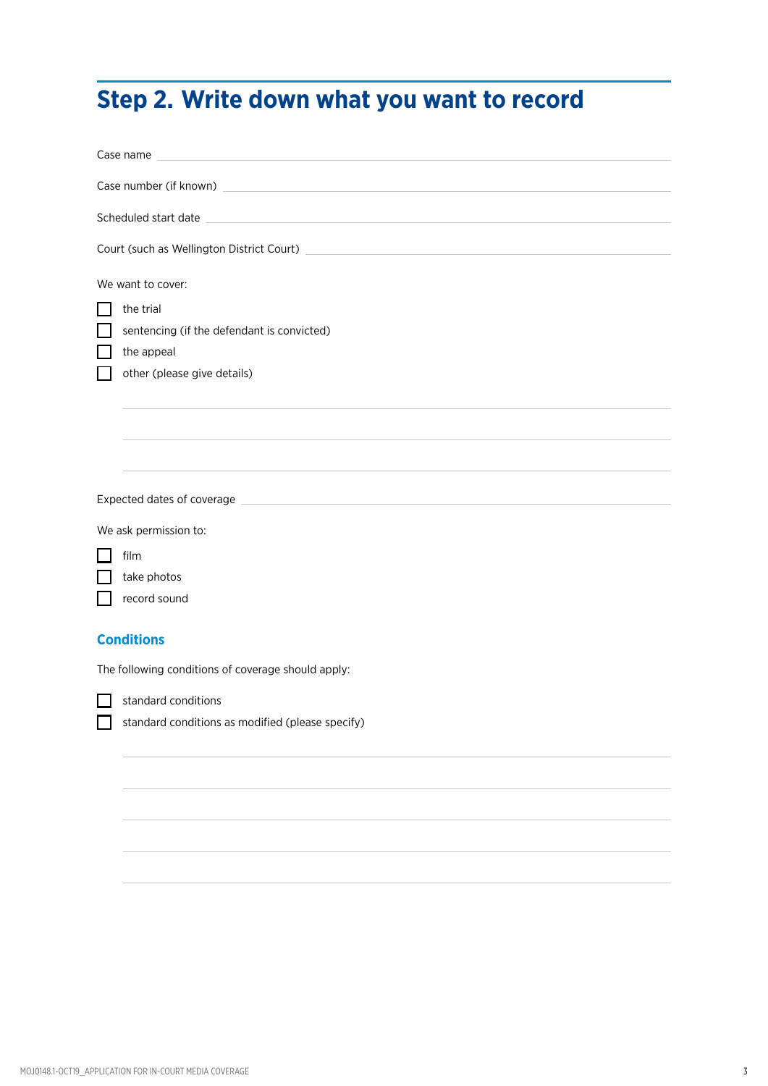# **Step 2. Write down what you want to record**

| Case name                                                                                                                                      |                                                                                                                                               |  |  |  |  |
|------------------------------------------------------------------------------------------------------------------------------------------------|-----------------------------------------------------------------------------------------------------------------------------------------------|--|--|--|--|
| Case number (if known)<br><u> 1989 - Johann John Stein, mars ar yn y breninn y breninn y breninn y breninn y breninn y breninn y breninn y</u> |                                                                                                                                               |  |  |  |  |
|                                                                                                                                                | <u> 1989 - Johann John Stein, markin film yn y breninn y breninn y breninn y breninn y breninn y breninn y brenin</u><br>Scheduled start date |  |  |  |  |
|                                                                                                                                                |                                                                                                                                               |  |  |  |  |
|                                                                                                                                                | We want to cover:                                                                                                                             |  |  |  |  |
|                                                                                                                                                | the trial                                                                                                                                     |  |  |  |  |
|                                                                                                                                                | sentencing (if the defendant is convicted)                                                                                                    |  |  |  |  |
|                                                                                                                                                | the appeal                                                                                                                                    |  |  |  |  |
|                                                                                                                                                | other (please give details)                                                                                                                   |  |  |  |  |
|                                                                                                                                                |                                                                                                                                               |  |  |  |  |
|                                                                                                                                                |                                                                                                                                               |  |  |  |  |
|                                                                                                                                                |                                                                                                                                               |  |  |  |  |
|                                                                                                                                                |                                                                                                                                               |  |  |  |  |
|                                                                                                                                                |                                                                                                                                               |  |  |  |  |
|                                                                                                                                                | We ask permission to:                                                                                                                         |  |  |  |  |
|                                                                                                                                                | film                                                                                                                                          |  |  |  |  |
|                                                                                                                                                | take photos                                                                                                                                   |  |  |  |  |
|                                                                                                                                                | record sound                                                                                                                                  |  |  |  |  |
|                                                                                                                                                |                                                                                                                                               |  |  |  |  |
|                                                                                                                                                | <b>Conditions</b>                                                                                                                             |  |  |  |  |
|                                                                                                                                                | The following conditions of coverage should apply:                                                                                            |  |  |  |  |
|                                                                                                                                                | standard conditions                                                                                                                           |  |  |  |  |
|                                                                                                                                                | standard conditions as modified (please specify)                                                                                              |  |  |  |  |
|                                                                                                                                                |                                                                                                                                               |  |  |  |  |
|                                                                                                                                                |                                                                                                                                               |  |  |  |  |
|                                                                                                                                                |                                                                                                                                               |  |  |  |  |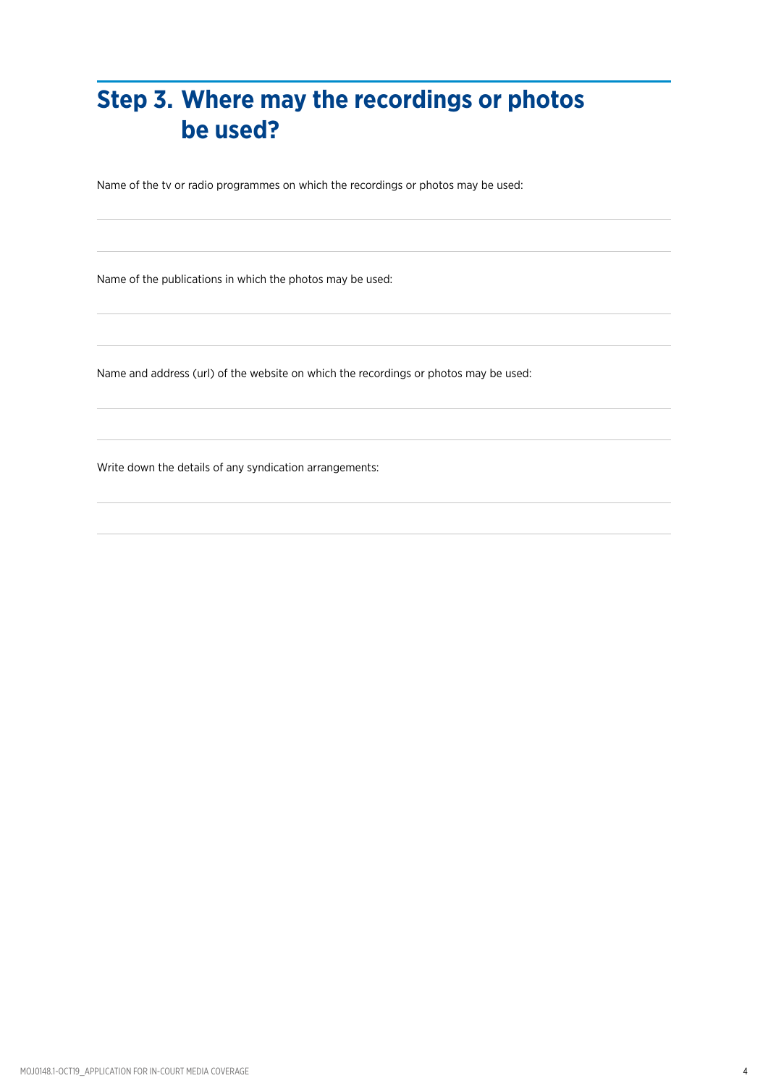# **Step 3. Where may the recordings or photos be used?**

Name of the tv or radio programmes on which the recordings or photos may be used:

Name of the publications in which the photos may be used:

Name and address (url) of the website on which the recordings or photos may be used:

Write down the details of any syndication arrangements: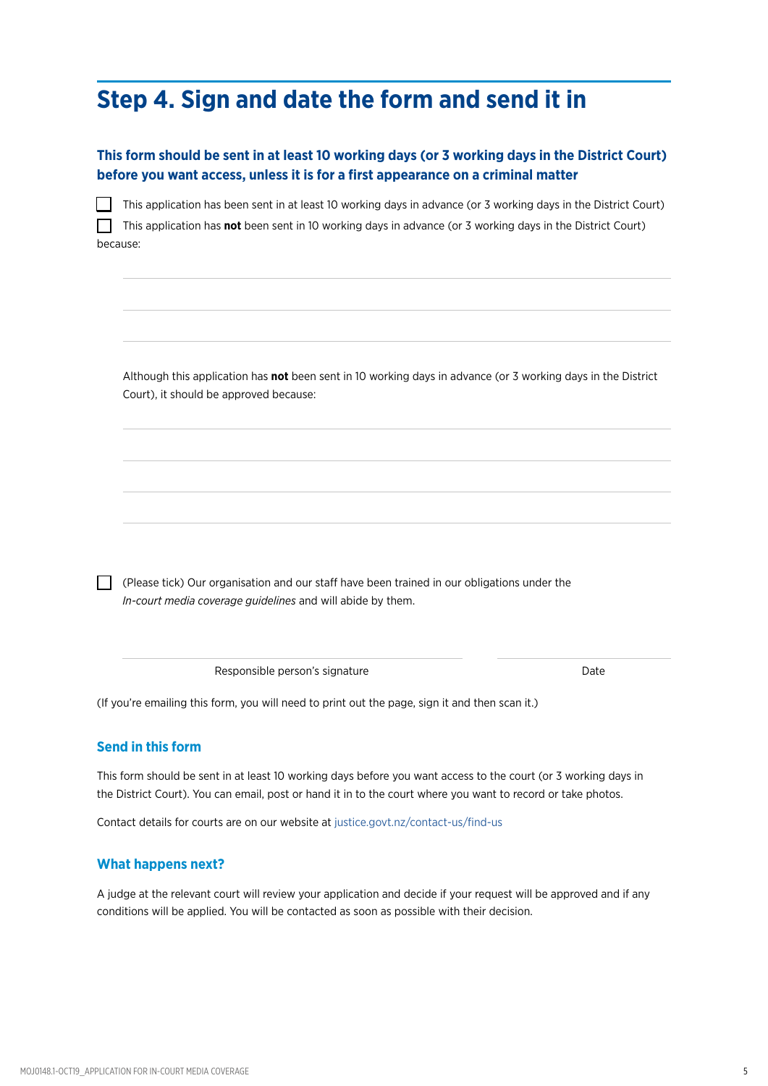## **Step 4. Sign and date the form and send it in**

### **This form should be sent in at least 10 working days (or 3 working days in the District Court) before you want access, unless it is for a first appearance on a criminal matter**

| This application has been sent in at least 10 working days in advance (or 3 working days in the District Court)   |
|-------------------------------------------------------------------------------------------------------------------|
| This application has <b>not</b> been sent in 10 working days in advance (or 3 working days in the District Court) |
| because:                                                                                                          |

Although this application has **not** been sent in 10 working days in advance (or 3 working days in the District Court), it should be approved because:

(Please tick) Our organisation and our staff have been trained in our obligations under the *In-court media coverage guidelines* and will abide by them.

Responsible person's signature department of the Date

(If you're emailing this form, you will need to print out the page, sign it and then scan it.)

#### **Send in this form**

This form should be sent in at least 10 working days before you want access to the court (or 3 working days in the District Court). You can email, post or hand it in to the court where you want to record or take photos.

Contact details for courts are on our website at [justice.govt.nz/contact-us/find-us](http://justice.govt.nz/contact-us/find-us/)

#### **What happens next?**

A judge at the relevant court will review your application and decide if your request will be approved and if any conditions will be applied. You will be contacted as soon as possible with their decision.